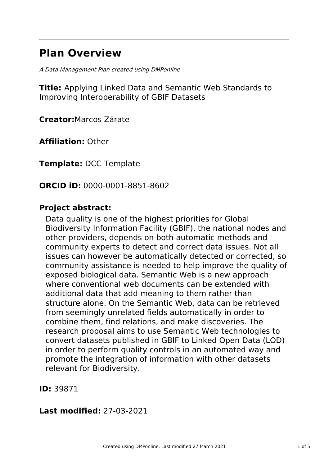# **Plan Overview**

A Data Management Plan created using DMPonline

**Title:** Applying Linked Data and Semantic Web Standards to Improving Interoperability of GBIF Datasets

**Creator:**Marcos Zárate

**Affiliation:** Other

**Template:** DCC Template

**ORCID iD:** 0000-0001-8851-8602

### **Project abstract:**

Data quality is one of the highest priorities for Global Biodiversity Information Facility (GBIF), the national nodes and other providers, depends on both automatic methods and community experts to detect and correct data issues. Not all issues can however be automatically detected or corrected, so community assistance is needed to help improve the quality of exposed biological data. Semantic Web is a new approach where conventional web documents can be extended with additional data that add meaning to them rather than structure alone. On the Semantic Web, data can be retrieved from seemingly unrelated fields automatically in order to combine them, find relations, and make discoveries. The research proposal aims to use Semantic Web technologies to convert datasets published in GBIF to Linked Open Data (LOD) in order to perform quality controls in an automated way and promote the integration of information with other datasets relevant for Biodiversity.

**ID:** 39871

## **Last modified:** 27-03-2021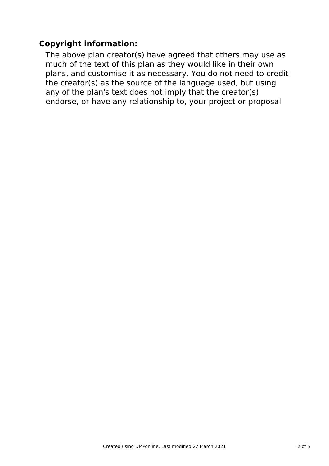# **Copyright information:**

The above plan creator(s) have agreed that others may use as much of the text of this plan as they would like in their own plans, and customise it as necessary. You do not need to credit the creator(s) as the source of the language used, but using any of the plan's text does not imply that the creator(s) endorse, or have any relationship to, your project or proposal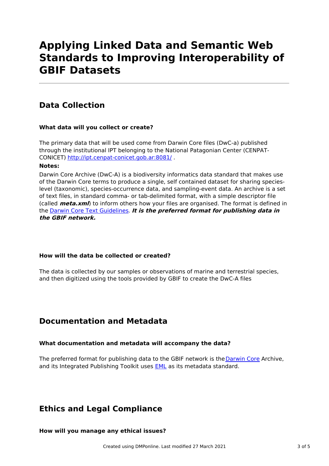# **Applying Linked Data and Semantic Web Standards to Improving Interoperability of GBIF Datasets**

# **Data Collection**

### **What data will you collect or create?**

The primary data that will be used come from Darwin Core files (DwC-a) published through the institutional IPT belonging to the National Patagonian Center (CENPAT-CONICET) <http://ipt.cenpat-conicet.gob.ar:8081/> .

### **Notes:**

Darwin Core Archive (DwC-A) is a biodiversity informatics data standard that makes use of the Darwin Core terms to produce a single, self contained dataset for sharing specieslevel (taxonomic), species-occurrence data, and sampling-event data. An archive is a set of text files, in standard comma- or tab-delimited format, with a simple descriptor file (called **meta.xml**) to inform others how your files are organised. The format is defined in the Darwin Core Text [Guidelines](http://rs.tdwg.org/dwc/terms/guides/text/index.htm). **It is the preferred format for publishing data in the GBIF network.**

### **How will the data be collected or created?**

The data is collected by our samples or observations of marine and terrestrial species, and then digitized using the tools provided by GBIF to create the DwC-A files

### **Documentation and Metadata**

### **What documentation and metadata will accompany the data?**

The preferred format for publishing data to the GBIF network is the[Darwin](http://www.dcc.ac.uk/resources/metadata-standards/darwin-core) Core Archive, and its Integrated Publishing Toolkit uses **[EML](http://www.dcc.ac.uk/resources/metadata-standards/eml-ecological-metadata-language)** as its metadata standard.

## **Ethics and Legal Compliance**

**How will you manage any ethical issues?**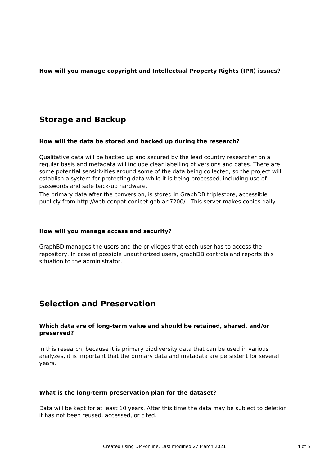### **How will you manage copyright and Intellectual Property Rights (IPR) issues?**

## **Storage and Backup**

### **How will the data be stored and backed up during the research?**

Qualitative data will be backed up and secured by the lead country researcher on a regular basis and metadata will include clear labelling of versions and dates. There are some potential sensitivities around some of the data being collected, so the project will establish a system for protecting data while it is being processed, including use of passwords and safe back-up hardware.

The primary data after the conversion, is stored in GraphDB triplestore, accessible publicly from http://web.cenpat-conicet.gob.ar:7200/ . This server makes copies daily.

#### **How will you manage access and security?**

GraphBD manages the users and the privileges that each user has to access the repository. In case of possible unauthorized users, graphDB controls and reports this situation to the administrator.

### **Selection and Preservation**

### **Which data are of long-term value and should be retained, shared, and/or preserved?**

In this research, because it is primary biodiversity data that can be used in various analyzes, it is important that the primary data and metadata are persistent for several years.

#### **What is the long-term preservation plan for the dataset?**

Data will be kept for at least 10 years. After this time the data may be subject to deletion it has not been reused, accessed, or cited.